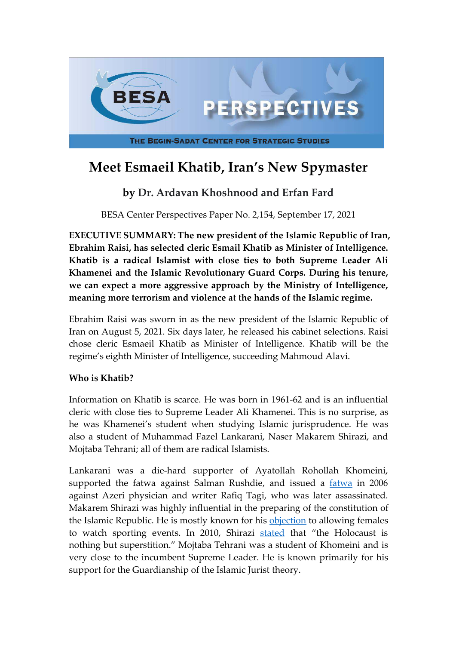

# **Meet Esmaeil Khatib, Iran's New Spymaster**

## **by Dr. Ardavan Khoshnood and Erfan Fard**

BESA Center Perspectives Paper No. 2,154, September 17, 2021

**EXECUTIVE SUMMARY: The new president of the Islamic Republic of Iran, Ebrahim Raisi, has selected cleric Esmail Khatib as Minister of Intelligence. Khatib is a radical Islamist with close ties to both Supreme Leader Ali Khamenei and the Islamic Revolutionary Guard Corps. During his tenure, we can expect a more aggressive approach by the Ministry of Intelligence, meaning more terrorism and violence at the hands of the Islamic regime.**

Ebrahim Raisi was sworn in as the new president of the Islamic Republic of Iran on August 5, 2021. Six days later, he released his cabinet selections. Raisi chose cleric Esmaeil Khatib as Minister of Intelligence. Khatib will be the regime's eighth Minister of Intelligence, succeeding Mahmoud Alavi.

#### **Who is Khatib?**

Information on Khatib is scarce. He was born in 1961-62 and is an influential cleric with close ties to Supreme Leader Ali Khamenei. This is no surprise, as he was Khamenei's student when studying Islamic jurisprudence. He was also a student of Muhammad Fazel Lankarani, Naser Makarem Shirazi, and Mojtaba Tehrani; all of them are radical Islamists.

Lankarani was a die-hard supporter of Ayatollah Rohollah Khomeini, supported the fatwa against Salman Rushdie, and issued a [fatwa](http://news.bbc.co.uk/2/hi/middle_east/6158195.stm) in 2006 against Azeri physician and writer Rafiq Tagi, who was later assassinated. Makarem Shirazi was highly influential in the preparing of the constitution of the Islamic Republic. He is mostly known for his **[objection](https://www.bbc.com/persian/iran/story/2006/04/060426_mf_footbal)** to allowing females to watch sporting events. In 2010, Shirazi [stated](https://www.news.com.au/breaking-news/top-iran-cleric-rejects-holocaust-as-superstition/news-story/79d89b91bef084cd7032cb3ab373196d) that "the Holocaust is nothing but superstition." Mojtaba Tehrani was a student of Khomeini and is very close to the incumbent Supreme Leader. He is known primarily for his support for the Guardianship of the Islamic Jurist theory.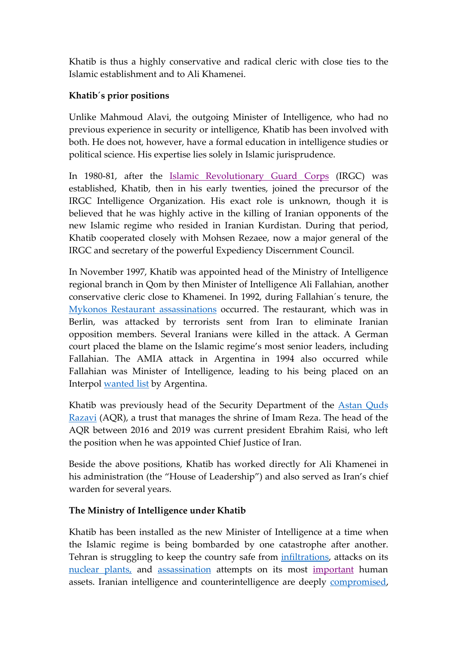Khatib is thus a highly conservative and radical cleric with close ties to the Islamic establishment and to Ali Khamenei.

### **Khatib´s prior positions**

Unlike Mahmoud Alavi, the outgoing Minister of Intelligence, who had no previous experience in security or intelligence, Khatib has been involved with both. He does not, however, have a formal education in intelligence studies or political science. His expertise lies solely in Islamic jurisprudence.

In 1980-81, after the [Islamic Revolutionary Guard Corps](https://doi.org/10.51870/CEJISS.A140301) (IRGC) was established, Khatib, then in his early twenties, joined the precursor of the IRGC Intelligence Organization. His exact role is unknown, though it is believed that he was highly active in the killing of Iranian opponents of the new Islamic regime who resided in Iranian Kurdistan. During that period, Khatib cooperated closely with Mohsen Rezaee, now a major general of the IRGC and secretary of the powerful Expediency Discernment Council.

In November 1997, Khatib was appointed head of the Ministry of Intelligence regional branch in Qom by then Minister of Intelligence Ali Fallahian, another conservative cleric close to Khamenei. In 1992, during Fallahian´s tenure, the [Mykonos Restaurant assassinations](https://besacenter.org/wp-content/uploads/2020/12/185web.pdf) occurred. The restaurant, which was in Berlin, was attacked by terrorists sent from Iran to eliminate Iranian opposition members. Several Iranians were killed in the attack. A German court placed the blame on the Islamic regime's most senior leaders, including Fallahian. The AMIA attack in Argentina in 1994 also occurred while Fallahian was Minister of Intelligence, leading to his being placed on an Interpol [wanted list](https://www.interpol.int/How-we-work/Notices/View-Red-Notices) by Argentina.

Khatib was previously head of the Security Department of the **[Astan Quds](https://globe.razavi.ir/en)** Razavi (AQR), a trust that manages the shrine of Imam Reza. The head of the AQR between 2016 and 2019 was current president Ebrahim Raisi, who left the position when he was appointed Chief Justice of Iran.

Beside the above positions, Khatib has worked directly for Ali Khamenei in his administration (the "House of Leadership") and also served as Iran's chief warden for several years.

#### **The Ministry of Intelligence under Khatib**

Khatib has been installed as the new Minister of Intelligence at a time when the Islamic regime is being bombarded by one catastrophe after another. Tehran is struggling to keep the country safe from *[infiltrations](https://besacenter.org/iran-intelligence-purge/)*, attacks on its [nuclear plants](https://besacenter.org/the-attack-on-natanz-and-the-jcpoa/), and [assassination](https://besacenter.org/the-al-masri-assassination-another-iranian-intelligence-failure/) attempts on its most [important](https://besacenter.org/iran-fakhrizadeh-assassination/) human assets. Iranian intelligence and counterintelligence are deeply [compromised](https://www.ipsonet.org/component/content/article/107-publications/open-access/611-gsis-volume-6-number-1-spring-summer-2021),